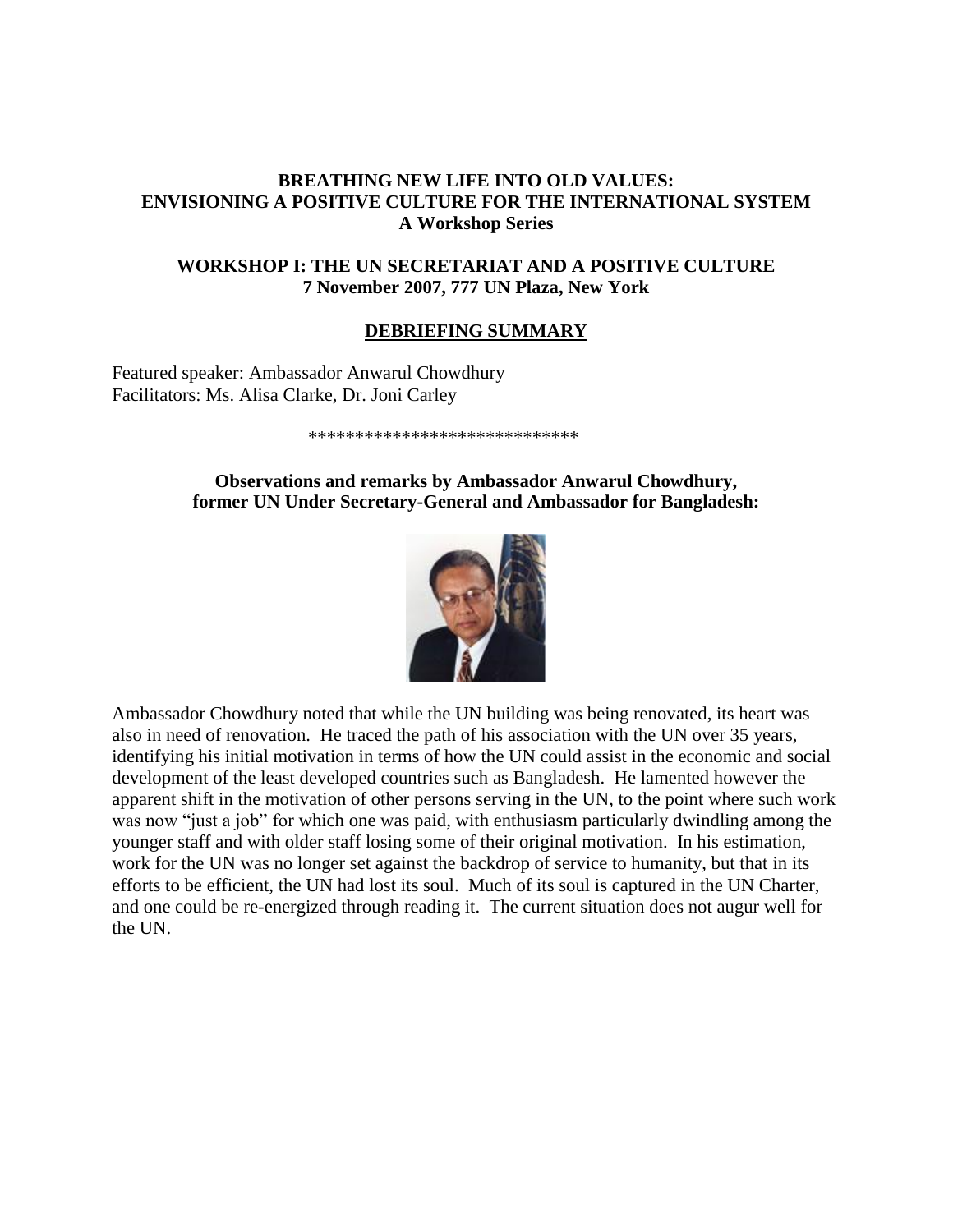# **BREATHING NEW LIFE INTO OLD VALUES: ENVISIONING A POSITIVE CULTURE FOR THE INTERNATIONAL SYSTEM A Workshop Series**

# **WORKSHOP I: THE UN SECRETARIAT AND A POSITIVE CULTURE 7 November 2007, 777 UN Plaza, New York**

#### **DEBRIEFING SUMMARY**

Featured speaker: Ambassador Anwarul Chowdhury Facilitators: Ms. Alisa Clarke, Dr. Joni Carley

#### \*\*\*\*\*\*\*\*\*\*\*\*\*\*\*\*\*\*\*\*\*\*\*\*\*\*\*\*\*

#### **Observations and remarks by Ambassador Anwarul Chowdhury, former UN Under Secretary-General and Ambassador for Bangladesh:**



Ambassador Chowdhury noted that while the UN building was being renovated, its heart was also in need of renovation. He traced the path of his association with the UN over 35 years, identifying his initial motivation in terms of how the UN could assist in the economic and social development of the least developed countries such as Bangladesh. He lamented however the apparent shift in the motivation of other persons serving in the UN, to the point where such work was now "just a job" for which one was paid, with enthusiasm particularly dwindling among the younger staff and with older staff losing some of their original motivation. In his estimation, work for the UN was no longer set against the backdrop of service to humanity, but that in its efforts to be efficient, the UN had lost its soul. Much of its soul is captured in the UN Charter, and one could be re-energized through reading it. The current situation does not augur well for the UN.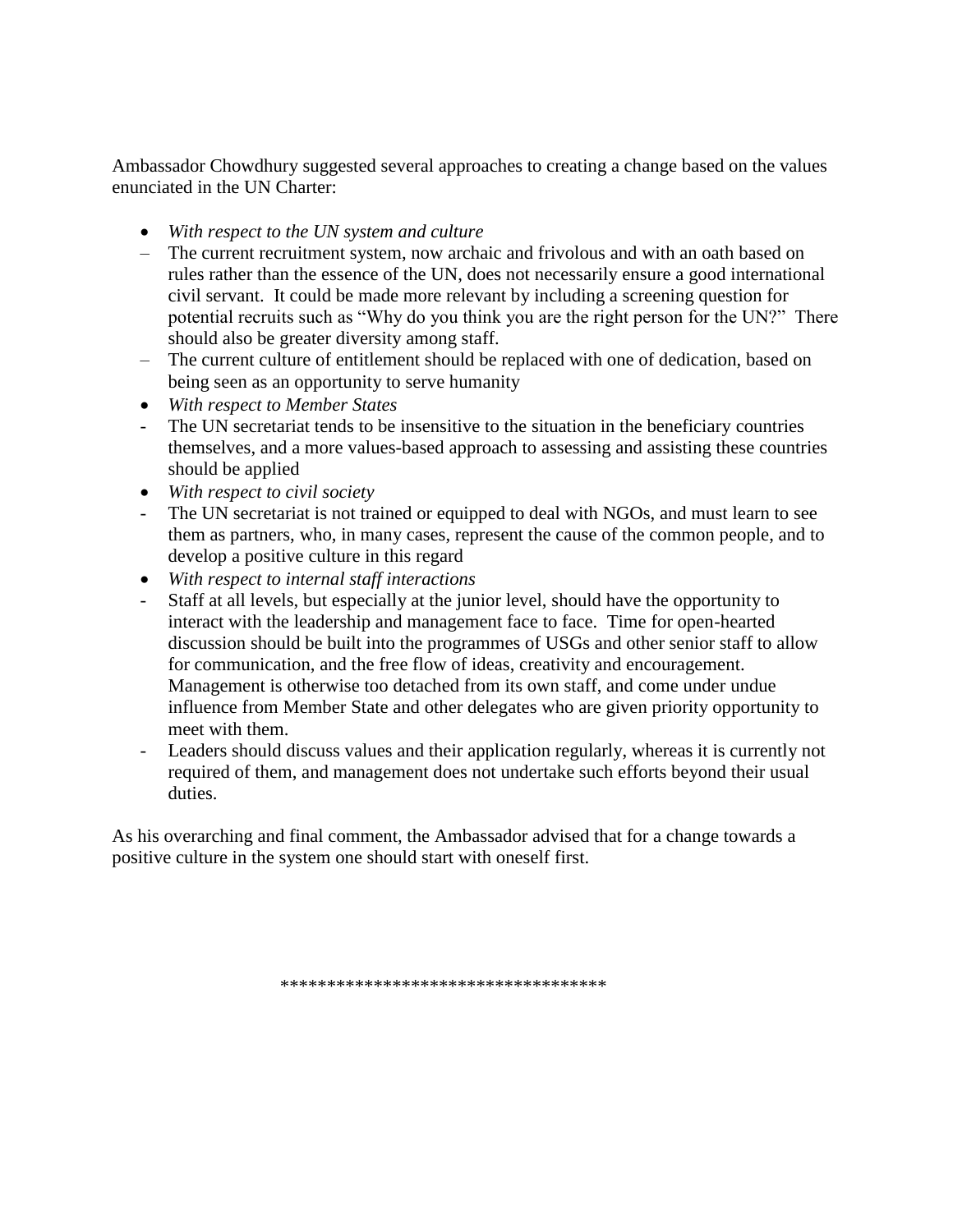Ambassador Chowdhury suggested several approaches to creating a change based on the values enunciated in the UN Charter:

- *With respect to the UN system and culture*
- The current recruitment system, now archaic and frivolous and with an oath based on rules rather than the essence of the UN, does not necessarily ensure a good international civil servant. It could be made more relevant by including a screening question for potential recruits such as "Why do you think you are the right person for the UN?" There should also be greater diversity among staff.
- The current culture of entitlement should be replaced with one of dedication, based on being seen as an opportunity to serve humanity
- *With respect to Member States*
- The UN secretariat tends to be insensitive to the situation in the beneficiary countries themselves, and a more values-based approach to assessing and assisting these countries should be applied
- *With respect to civil society*
- The UN secretariat is not trained or equipped to deal with NGOs, and must learn to see them as partners, who, in many cases, represent the cause of the common people, and to develop a positive culture in this regard
- *With respect to internal staff interactions*
- Staff at all levels, but especially at the junior level, should have the opportunity to interact with the leadership and management face to face. Time for open-hearted discussion should be built into the programmes of USGs and other senior staff to allow for communication, and the free flow of ideas, creativity and encouragement. Management is otherwise too detached from its own staff, and come under undue influence from Member State and other delegates who are given priority opportunity to meet with them.
- Leaders should discuss values and their application regularly, whereas it is currently not required of them, and management does not undertake such efforts beyond their usual duties.

As his overarching and final comment, the Ambassador advised that for a change towards a positive culture in the system one should start with oneself first.

\*\*\*\*\*\*\*\*\*\*\*\*\*\*\*\*\*\*\*\*\*\*\*\*\*\*\*\*\*\*\*\*\*\*\*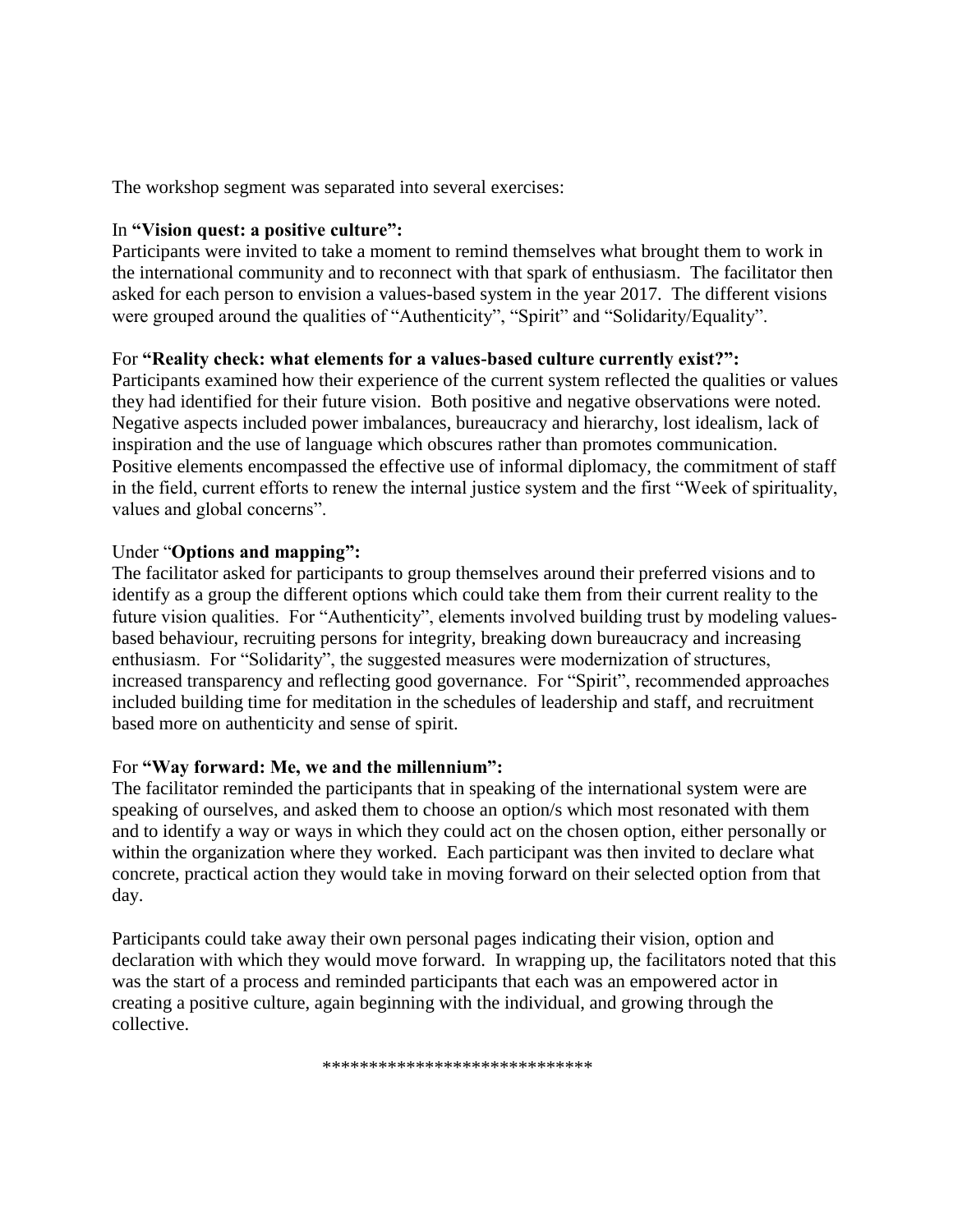The workshop segment was separated into several exercises:

# In **"Vision quest: a positive culture":**

Participants were invited to take a moment to remind themselves what brought them to work in the international community and to reconnect with that spark of enthusiasm. The facilitator then asked for each person to envision a values-based system in the year 2017. The different visions were grouped around the qualities of "Authenticity", "Spirit" and "Solidarity/Equality".

# For **"Reality check: what elements for a values-based culture currently exist?":**

Participants examined how their experience of the current system reflected the qualities or values they had identified for their future vision. Both positive and negative observations were noted. Negative aspects included power imbalances, bureaucracy and hierarchy, lost idealism, lack of inspiration and the use of language which obscures rather than promotes communication. Positive elements encompassed the effective use of informal diplomacy, the commitment of staff in the field, current efforts to renew the internal justice system and the first "Week of spirituality, values and global concerns".

# Under "**Options and mapping":**

The facilitator asked for participants to group themselves around their preferred visions and to identify as a group the different options which could take them from their current reality to the future vision qualities. For "Authenticity", elements involved building trust by modeling valuesbased behaviour, recruiting persons for integrity, breaking down bureaucracy and increasing enthusiasm. For "Solidarity", the suggested measures were modernization of structures, increased transparency and reflecting good governance. For "Spirit", recommended approaches included building time for meditation in the schedules of leadership and staff, and recruitment based more on authenticity and sense of spirit.

### For **"Way forward: Me, we and the millennium":**

The facilitator reminded the participants that in speaking of the international system were are speaking of ourselves, and asked them to choose an option/s which most resonated with them and to identify a way or ways in which they could act on the chosen option, either personally or within the organization where they worked. Each participant was then invited to declare what concrete, practical action they would take in moving forward on their selected option from that day.

Participants could take away their own personal pages indicating their vision, option and declaration with which they would move forward. In wrapping up, the facilitators noted that this was the start of a process and reminded participants that each was an empowered actor in creating a positive culture, again beginning with the individual, and growing through the collective.

\*\*\*\*\*\*\*\*\*\*\*\*\*\*\*\*\*\*\*\*\*\*\*\*\*\*\*\*\*